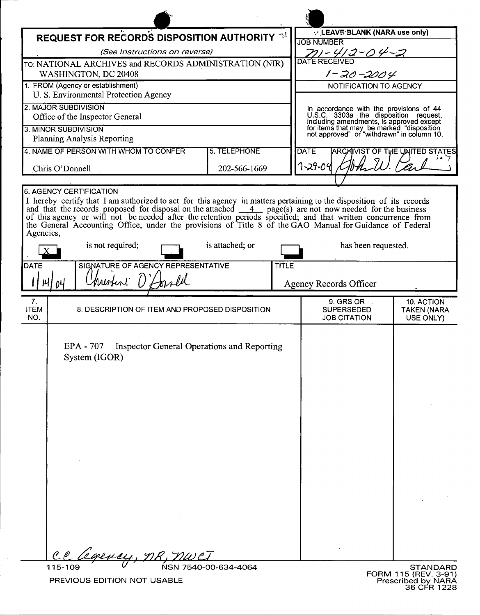| <b>REQUEST FOR RECORDS DISPOSITION AUTHORITY 33</b>                                                                                                                                                                                                                                                                                                                                                                                                                                            |                 |              | V LEAVE BLANK (NARA use only)<br><b>JOB NUMBER</b>                                                                                                                                                                      |                                               |
|------------------------------------------------------------------------------------------------------------------------------------------------------------------------------------------------------------------------------------------------------------------------------------------------------------------------------------------------------------------------------------------------------------------------------------------------------------------------------------------------|-----------------|--------------|-------------------------------------------------------------------------------------------------------------------------------------------------------------------------------------------------------------------------|-----------------------------------------------|
| (See Instructions on reverse)                                                                                                                                                                                                                                                                                                                                                                                                                                                                  |                 |              | 711-412-04-2                                                                                                                                                                                                            |                                               |
| TO: NATIONAL ARCHIVES and RECORDS ADMINISTRATION (NIR)                                                                                                                                                                                                                                                                                                                                                                                                                                         |                 |              | <b>DATE RECEIVED</b>                                                                                                                                                                                                    |                                               |
| WASHINGTON, DC 20408                                                                                                                                                                                                                                                                                                                                                                                                                                                                           |                 |              | $1 - 20 - 2004$                                                                                                                                                                                                         |                                               |
| 1. FROM (Agency or establishment)<br>U. S. Environmental Protection Agency                                                                                                                                                                                                                                                                                                                                                                                                                     |                 |              | NOTIFICATION TO AGENCY                                                                                                                                                                                                  |                                               |
| 2. MAJOR SUBDIVISION<br>Office of the Inspector General                                                                                                                                                                                                                                                                                                                                                                                                                                        |                 |              | In accordance with the provisions of 44<br>U.S.C. 3303a the disposition request,<br>including amendments, is approved except<br>for items that may be marked "disposition<br>not approved" or "withdrawn" in column 10. |                                               |
| 3. MINOR SUBDIVISION                                                                                                                                                                                                                                                                                                                                                                                                                                                                           |                 |              |                                                                                                                                                                                                                         |                                               |
| Planning Analysis Reporting                                                                                                                                                                                                                                                                                                                                                                                                                                                                    |                 |              |                                                                                                                                                                                                                         |                                               |
| 4. NAME OF PERSON WITH WHOM TO CONFER                                                                                                                                                                                                                                                                                                                                                                                                                                                          | 5. TELEPHONE    |              | <b>DATE</b>                                                                                                                                                                                                             | <b>ARCAIVIST OF THE UNITED STATES</b>         |
| Chris O'Donnell                                                                                                                                                                                                                                                                                                                                                                                                                                                                                | 202-566-1669    |              | 7-29-04                                                                                                                                                                                                                 |                                               |
| 6. AGENCY CERTIFICATION                                                                                                                                                                                                                                                                                                                                                                                                                                                                        |                 |              |                                                                                                                                                                                                                         |                                               |
| I hereby certify that I am authorized to act for this agency in matters pertaining to the disposition of its records<br>and that the records proposed for disposal on the attached 4 page(s) are not now needed for the business<br>of this agency or will not be needed after the retention periods specified; and that written concurrence from<br>the General Accounting Office, under the provisions of Title 8 of the GAO Manual for Guidance of Federal<br>Agencies,<br>is not required; | is attached; or |              | has been requested.                                                                                                                                                                                                     |                                               |
| SIGNATURE OF AGENCY REPRESENTATIVE<br><b>DATE</b>                                                                                                                                                                                                                                                                                                                                                                                                                                              |                 | <b>TITLE</b> |                                                                                                                                                                                                                         |                                               |
| Unisteri O'Lorrell                                                                                                                                                                                                                                                                                                                                                                                                                                                                             |                 |              |                                                                                                                                                                                                                         |                                               |
| $ \mathcal{U} $<br>D4                                                                                                                                                                                                                                                                                                                                                                                                                                                                          |                 |              | <b>Agency Records Officer</b>                                                                                                                                                                                           |                                               |
| 7.<br><b>ITEM</b><br>8. DESCRIPTION OF ITEM AND PROPOSED DISPOSITION<br>NO.                                                                                                                                                                                                                                                                                                                                                                                                                    |                 |              |                                                                                                                                                                                                                         |                                               |
|                                                                                                                                                                                                                                                                                                                                                                                                                                                                                                |                 |              | 9. GRS OR<br><b>SUPERSEDED</b><br><b>JOB CITATION</b>                                                                                                                                                                   | 10. ACTION<br><b>TAKEN (NARA</b><br>USE ONLY) |
| EPA - 707<br>Inspector General Operations and Reporting<br>System (IGOR)<br><u>legency, NR, T</u><br>$\ell_{\ell}$                                                                                                                                                                                                                                                                                                                                                                             |                 |              |                                                                                                                                                                                                                         |                                               |

 $\ddot{\phantom{a}}$ 

 $\bar{z}$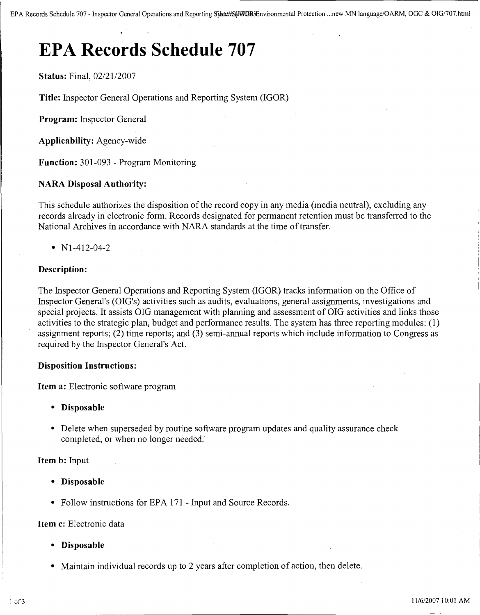# **EPA Records Schedule 707**

**Status:** Final, 02/21/2007

**Title:** Inspector General Operations and Reporting System (IGOR)

**Program:** Inspector General

**Applicability:** Agency-wide

**Function:** 301-093 - Program Monitoring

# **NARA Disposal Authority:**

This schedule authorizes the disposition of the record copy in any media (media neutral), excluding any records already in electronic form. Records designated for permanent retention must be transferred to the National Archives in accordance with NARA standards at the time of transfer.

•  $N1-412-04-2$ 

# **Description:**

The Inspector General Operations and Reporting System (IGOR) tracks information on the Office of Inspector General's (OIG's) activities such as audits, evaluations, general assignments, investigations and special projects. It assists OIG management with planning and assessment of OIG activities and links those activities to the strategic plan, budget and performance results. The system has three reporting modules: (1) assignment reports; (2) time reports; and (3) semi-annual reports which include information to Congress as required by the Inspector General's Act.

# **Disposition Instructions:**

**Item a:** Electronic software program

- **• Disposable**
- Delete when superseded by routine software program updates and quality assurance check completed, or when no longer needed.

**Item b:** Input

- **• Disposable**
- Follow instructions for EPA 171 Input and Source Records.

## **Item c:** Electronic data

- **• Disposable**
- Maintain individual records up to 2 years after completion of action, then delete.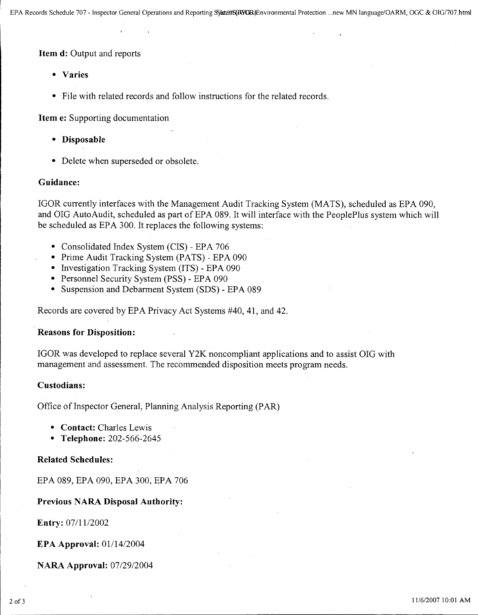**Item d:** Output and reports

- **• Varies**
- File with related records and follow instructions for the related records.

**Item** e: Supporting documentation

- **• Disposable**
- Delete when superseded or obsolete.

#### **Guidance:**

IGOR currently interfaces with the Management Audit Tracking System (MATS), scheduled as EPA 090, and OIG AutoAudit, scheduled as part of EPA 089. It will interface with the PeoplePlus system which will be scheduled as EPA 300. It replaces the following systems:

- Consolidated Index System (CIS) EPA 706
- Prime Audit Tracking System (PATS) EPA 090
- Investigation Tracking System (ITS) EPA 090
- Personnel Security System (PSS) EPA 090
- Suspension and Debarment System (SDS) EPA 089

Records are covered by EPA Privacy Act Systems #40, 41, and 42.

## **Reasons for Disposition:**

IGOR was developed to replace several Y2K noncompliant applications and to assist OIG with management and assessment. The recommended disposition meets program needs.

#### **Custodians:**

Office of Inspector General, Planning Analysis Reporting (PAR)

- **• Contact:** Charles Lewis
- **• Telephone:** 202-566-2645

## **Related Schedules:**

EPA 089, EPA 090, EPA 300, EPA 706

## **Previous NARA Disposal Authority:**

**Entry:** 07/11/2002

**EPA Approval:** *01114/2004*

**NARA Approval:** *07/2912004*